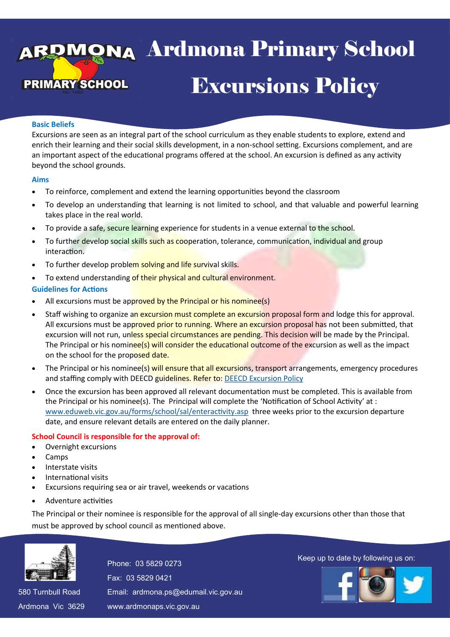# va Ardmona Pri **Excursions Policy** 13 April 2016 enool -Ardmona Primary School

#### **Basic Beliefs**

Excursions are seen as an integral part of the school curriculum as they enable students to explore, extend and enrich their learning and their social skills development, in a non-school setting. Excursions complement, and are an important aspect of the educational programs offered at the school. An excursion is defined as any activity beyond the school grounds.

#### **Aims**

- To reinforce, complement and extend the learning opportunities beyond the classroom
- To develop an understanding that learning is not limited to school, and that valuable and powerful learning takes place in the real world.
- To provide a safe, secure learning experience for students in a venue external to the school.
- To further develop social skills such as cooperation, tolerance, communication, individual and group interaction.
- To further develop problem solving and life survival skills.
- To extend understanding of their physical and cultural environment.

#### **Guidelines for Actions**

- All excursions must be approved by the Principal or his nominee(s)
- Staff wishing to organize an excursion must complete an excursion proposal form and lodge this for approval. All excursions must be approved prior to running. Where an excursion proposal has not been submitted, that excursion will not run, unless special circumstances are pending. This decision will be made by the Principal. The Principal or his nominee(s) will consider the educational outcome of the excursion as well as the impact on the school for the proposed date.
- The Principal or his nominee(s) will ensure that all excursions, transport arrangements, emergency procedures and staffing comply with DEECD guidelines. Refer to: [DEECD Excursion Policy](http://www.education.vic.gov.au/school/principals/spag/safety/Pages/excursions.aspx#mainContent)
- Once the excursion has been approved all relevant documentation must be completed. This is available from the Principal or his nominee(s). The Principal will complete the 'Notification of School Activity' at : [www.eduweb.vic.gov.au/forms/school/sal/enteractivity.asp](http://www.eduweb.vic.gov.au/forms/school/sal/enteractivity.asp) three weeks prior to the excursion departure date, and ensure relevant details are entered on the daily planner.

## **School Council is responsible for the approval of:**

- Overnight excursions
- Camps
- Interstate visits
- International visits
- Excursions requiring sea or air travel, weekends or vacations
- Adventure activities

The Principal or their nominee is responsible for the approval of all single-day excursions other than those that must be approved by school council as mentioned above.



Fax: 03 5829 0421 Fax: 03 5829 0421 Email: ardmona.ps@edumail.vic.gov.au Email: ardmona.ps@edumail.vic.gov.au

580 Turnbull Road 580 Turnbull Road Ardmona Vic 3629 Ardmona Vic 3629

www.ardmonaps.vic.gov.au www.ardmonaps.vic.gov.au

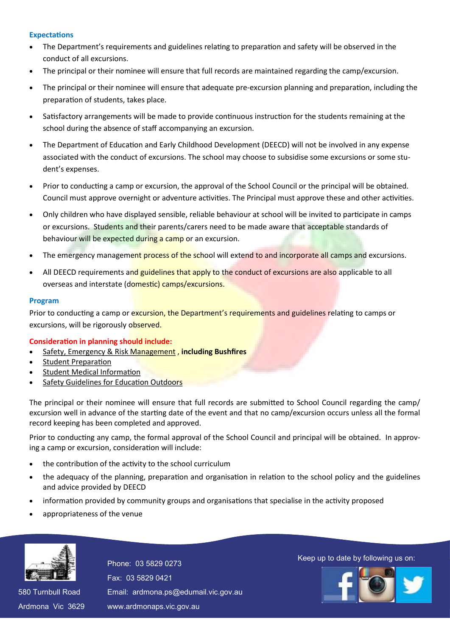## **Expectations**

- The Department's requirements and guidelines relating to preparation and safety will be observed in the conduct of all excursions.
- The principal or their nominee will ensure that full records are maintained regarding the camp/excursion.
- The principal or their nominee will ensure that adequate pre-excursion planning and preparation, including the preparation of students, takes place.
- Satisfactory arrangements will be made to provide continuous instruction for the students remaining at the school during the absence of staff accompanying an excursion.
- The Department of Education and Early Childhood Development (DEECD) will not be involved in any expense associated with the conduct of excursions. The school may choose to subsidise some excursions or some student's expenses.
- Prior to conducting a camp or excursion, the approval of the School Council or the principal will be obtained. Council must approve overnight or adventure activities. The Principal must approve these and other activities.
- Only children who have displayed sensible, reliable behaviour at school will be invited to participate in camps or excursions. Students and their parents/carers need to be made aware that acceptable standards of behaviour will be expected during a camp or an excursion.
- The emergency management process of the school will extend to and incorporate all camps and excursions.
- All DEECD requirements and guidelines that apply to the conduct of excursions are also applicable to all overseas and interstate (domestic) camps/excursions.

## **Program**

Prior to conducting a camp or excursion, the Department's requirements and guidelines relating to camps or excursions, will be rigorously observed.

## **Consideration in planning should include:**

- [Safety, Emergency & Risk Management](http://www.education.vic.gov.au/school/principals/spag/safety/Pages/excursionsafety.aspx#mainContent) , **including Bushfires**
- [Student Preparation](http://www.education.vic.gov.au/school/principals/spag/safety/Pages/preparation.aspx#mainContent)
- [Student Medical Information](http://www.education.vic.gov.au/school/principals/spag/safety/Pages/medicalinfo.aspx#mainContent)
- [Safety Guidelines for Education Outdoors](http://www.education.vic.gov.au/school/principals/safety/pages/outdoor.aspx#mainContent)

The principal or their nominee will ensure that full records are submitted to School Council regarding the camp/ excursion well in advance of the starting date of the event and that no camp/excursion occurs unless all the formal record keeping has been completed and approved.

Prior to conducting any camp, the formal approval of the School Council and principal will be obtained. In approving a camp or excursion, consideration will include:

- the contribution of the activity to the school curriculum
- the adequacy of the planning, preparation and organisation in relation to the school policy and the guidelines and advice provided by DEECD
- information provided by community groups and organisations that specialise in the activity proposed
- appropriateness of the venue



580 Turnbull Road 580 Turnbull Road Ardmona Vic 3629 Ardmona Vic 3629 Fax: 03 5829 0421 Fax: 03 5829 0421 Email: ardmona.ps@edumail.vic.gov.au Email: ardmona.ps@edumail.vic.gov.au www.ardmonaps.vic.gov.au www.ardmonaps.vic.gov.au

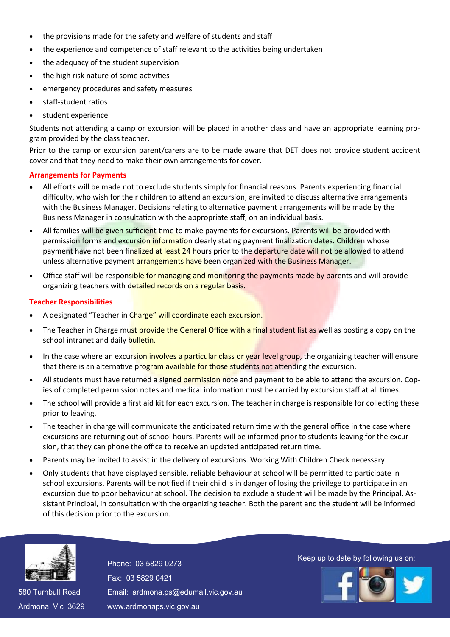- the provisions made for the safety and welfare of students and staff
- the experience and competence of staff relevant to the activities being undertaken
- the adequacy of the student supervision
- the high risk nature of some activities
- emergency procedures and safety measures
- staff-student ratios
- student experience

Students not attending a camp or excursion will be placed in another class and have an appropriate learning program provided by the class teacher.

Prior to the camp or excursion parent/carers are to be made aware that DET does not provide student accident cover and that they need to make their own arrangements for cover.

## **Arrangements for Payments**

- All efforts will be made not to exclude students simply for financial reasons. Parents experiencing financial difficulty, who wish for their children to attend an excursion, are invited to discuss alternative arrangements with the Business Manager. Decisions relating to alternative payment arrangements will be made by the Business Manager in consultation with the appropriate staff, on an individual basis.
- All families will be given sufficient time to make payments for excursions. Parents will be provided with permission forms and excursion information clearly stating payment finalization dates. Children whose payment have not been finalized at least 24 hours prior to the departure date will not be allowed to attend unless alternative payment arrangements have been organized with the Business Manager.
- Office staff will be responsible for managing and monitoring the payments made by parents and will provide organizing teachers with detailed records on a regular basis.

## **Teacher Responsibilities**

- A designated "Teacher in Charge" will coordinate each excursion.
- The Teacher in Charge must provide the General Office with a final student list as well as posting a copy on the school intranet and daily bulletin.
- In the case where an excursion involves a particular class or year level group, the organizing teacher will ensure that there is an alternative program available for those students not attending the excursion.
- All students must have returned a signed permission note and payment to be able to attend the excursion. Copies of completed permission notes and medical information must be carried by excursion staff at all times.
- The school will provide a first aid kit for each excursion. The teacher in charge is responsible for collecting these prior to leaving.
- The teacher in charge will communicate the anticipated return time with the general office in the case where excursions are returning out of school hours. Parents will be informed prior to students leaving for the excursion, that they can phone the office to receive an updated anticipated return time.
- Parents may be invited to assist in the delivery of excursions. Working With Children Check necessary.
- Only students that have displayed sensible, reliable behaviour at school will be permitted to participate in school excursions. Parents will be notified if their child is in danger of losing the privilege to participate in an excursion due to poor behaviour at school. The decision to exclude a student will be made by the Principal, Assistant Principal, in consultation with the organizing teacher. Both the parent and the student will be informed of this decision prior to the excursion.



580 Turnbull Road 580 Turnbull Road Ardmona Vic 3629 Ardmona Vic 3629 Fax: 03 5829 0421 Fax: 03 5829 0421 Email: ardmona.ps@edumail.vic.gov.au Email: ardmona.ps@edumail.vic.gov.au www.ardmonaps.vic.gov.au www.ardmonaps.vic.gov.au